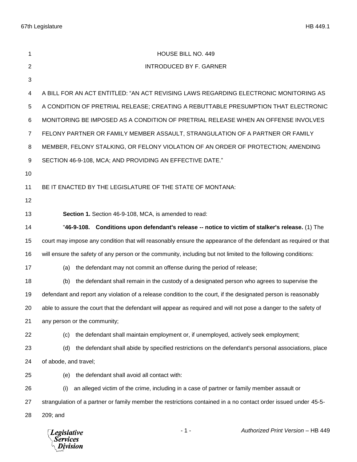67th Legislature HB 449.1

| 1  | HOUSE BILL NO. 449                                                                                              |
|----|-----------------------------------------------------------------------------------------------------------------|
| 2  | <b>INTRODUCED BY F. GARNER</b>                                                                                  |
| 3  |                                                                                                                 |
| 4  | A BILL FOR AN ACT ENTITLED: "AN ACT REVISING LAWS REGARDING ELECTRONIC MONITORING AS                            |
| 5  | A CONDITION OF PRETRIAL RELEASE; CREATING A REBUTTABLE PRESUMPTION THAT ELECTRONIC                              |
| 6  | MONITORING BE IMPOSED AS A CONDITION OF PRETRIAL RELEASE WHEN AN OFFENSE INVOLVES                               |
| 7  | FELONY PARTNER OR FAMILY MEMBER ASSAULT, STRANGULATION OF A PARTNER OR FAMILY                                   |
| 8  | MEMBER, FELONY STALKING, OR FELONY VIOLATION OF AN ORDER OF PROTECTION; AMENDING                                |
| 9  | SECTION 46-9-108, MCA; AND PROVIDING AN EFFECTIVE DATE."                                                        |
| 10 |                                                                                                                 |
| 11 | BE IT ENACTED BY THE LEGISLATURE OF THE STATE OF MONTANA:                                                       |
| 12 |                                                                                                                 |
| 13 | Section 1. Section 46-9-108, MCA, is amended to read:                                                           |
| 14 | "46-9-108. Conditions upon defendant's release -- notice to victim of stalker's release. (1) The                |
| 15 | court may impose any condition that will reasonably ensure the appearance of the defendant as required or that  |
| 16 | will ensure the safety of any person or the community, including but not limited to the following conditions:   |
| 17 | the defendant may not commit an offense during the period of release;<br>(a)                                    |
| 18 | the defendant shall remain in the custody of a designated person who agrees to supervise the<br>(b)             |
| 19 | defendant and report any violation of a release condition to the court, if the designated person is reasonably  |
| 20 | able to assure the court that the defendant will appear as required and will not pose a danger to the safety of |
| 21 | any person or the community;                                                                                    |
| 22 | the defendant shall maintain employment or, if unemployed, actively seek employment;<br>(c)                     |
| 23 | the defendant shall abide by specified restrictions on the defendant's personal associations, place<br>(d)      |
| 24 | of abode, and travel;                                                                                           |
| 25 | the defendant shall avoid all contact with:<br>(e)                                                              |
| 26 | an alleged victim of the crime, including in a case of partner or family member assault or<br>(i)               |
| 27 | strangulation of a partner or family member the restrictions contained in a no contact order issued under 45-5- |
| 28 | 209; and                                                                                                        |
|    | $-1-$<br>Authorized Print Version - HB 449<br><b>Legislative</b><br>Services<br>Division                        |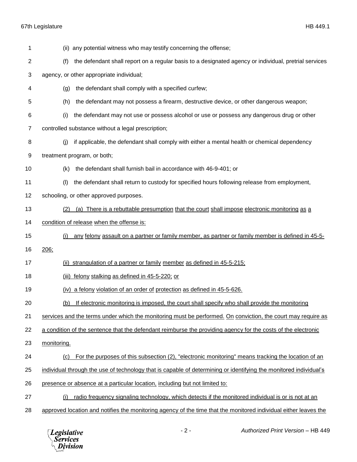67th Legislature HB 449.1

| 1              | (ii) any potential witness who may testify concerning the offense;                                                |
|----------------|-------------------------------------------------------------------------------------------------------------------|
| 2              | the defendant shall report on a regular basis to a designated agency or individual, pretrial services<br>(f)      |
| 3              | agency, or other appropriate individual;                                                                          |
| 4              | the defendant shall comply with a specified curfew;<br>(g)                                                        |
| 5              | (h)<br>the defendant may not possess a firearm, destructive device, or other dangerous weapon;                    |
| 6              | the defendant may not use or possess alcohol or use or possess any dangerous drug or other<br>(i)                 |
| $\overline{7}$ | controlled substance without a legal prescription;                                                                |
| 8              | if applicable, the defendant shall comply with either a mental health or chemical dependency<br>(j)               |
| 9              | treatment program, or both;                                                                                       |
| 10             | the defendant shall furnish bail in accordance with 46-9-401; or<br>(k)                                           |
| 11             | the defendant shall return to custody for specified hours following release from employment,<br>(1)               |
| 12             | schooling, or other approved purposes.                                                                            |
| 13             | (a) There is a rebuttable presumption that the court shall impose electronic monitoring as a<br>(2)               |
| 14             | condition of release when the offense is:                                                                         |
| 15             | any felony assault on a partner or family member, as partner or family member is defined in 45-5-<br>(i)          |
| 16             | 206:                                                                                                              |
| 17             | (ii) strangulation of a partner or family member as defined in 45-5-215;                                          |
| 18             | (iii) felony stalking as defined in 45-5-220; or                                                                  |
| 19             | (iv) a felony violation of an order of protection as defined in 45-5-626.                                         |
| 20             | If electronic monitoring is imposed, the court shall specify who shall provide the monitoring<br>(b)              |
| 21             | services and the terms under which the monitoring must be performed. On conviction, the court may require as      |
| 22             | a condition of the sentence that the defendant reimburse the providing agency for the costs of the electronic     |
| 23             | monitoring.                                                                                                       |
| 24             | For the purposes of this subsection (2), "electronic monitoring" means tracking the location of an<br>(c)         |
| 25             | individual through the use of technology that is capable of determining or identifying the monitored individual's |
| 26             | presence or absence at a particular location, including but not limited to:                                       |
| 27             | radio frequency signaling technology, which detects if the monitored individual is or is not at an<br>(i)         |
| 28             | approved location and notifies the monitoring agency of the time that the monitored individual either leaves the  |